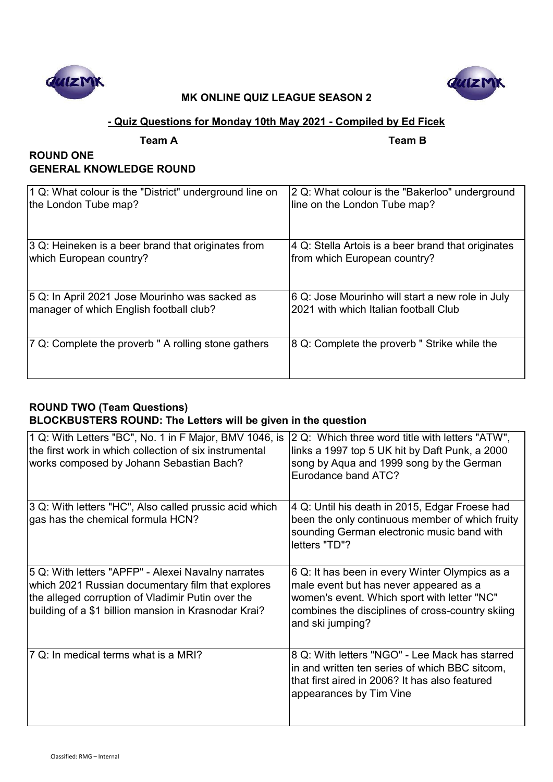



### **- Quiz Questions for Monday 10th May 2021 - Compiled by Ed Ficek**

**Team A Team B**

## **ROUND ONE GENERAL KNOWLEDGE ROUND**

| 1 Q: What colour is the "District" underground line on | 2 Q: What colour is the "Bakerloo" underground     |
|--------------------------------------------------------|----------------------------------------------------|
| the London Tube map?                                   | line on the London Tube map?                       |
| 3 Q: Heineken is a beer brand that originates from     | 4 Q: Stella Artois is a beer brand that originates |
| which European country?                                | from which European country?                       |
| 5 Q: In April 2021 Jose Mourinho was sacked as         | 6 Q: Jose Mourinho will start a new role in July   |
| manager of which English football club?                | 2021 with which Italian football Club              |
| 7 Q: Complete the proverb " A rolling stone gathers    | 8 Q: Complete the proverb " Strike while the       |

## **ROUND TWO (Team Questions) BLOCKBUSTERS ROUND: The Letters will be given in the question**

| 1 Q: With Letters "BC", No. 1 in F Major, BMV 1046, is<br>the first work in which collection of six instrumental<br>works composed by Johann Sebastian Bach?                                                         | 2 Q: Which three word title with letters "ATW",<br>links a 1997 top 5 UK hit by Daft Punk, a 2000<br>song by Aqua and 1999 song by the German<br>Eurodance band ATC?                                            |
|----------------------------------------------------------------------------------------------------------------------------------------------------------------------------------------------------------------------|-----------------------------------------------------------------------------------------------------------------------------------------------------------------------------------------------------------------|
| 3 Q: With letters "HC", Also called prussic acid which<br>gas has the chemical formula HCN?                                                                                                                          | 4 Q: Until his death in 2015, Edgar Froese had<br>been the only continuous member of which fruity<br>sounding German electronic music band with<br>letters "TD"?                                                |
| 5 Q: With letters "APFP" - Alexei Navalny narrates<br>which 2021 Russian documentary film that explores<br>the alleged corruption of Vladimir Putin over the<br>building of a \$1 billion mansion in Krasnodar Krai? | 6 Q: It has been in every Winter Olympics as a<br>male event but has never appeared as a<br>women's event. Which sport with letter "NC"<br>combines the disciplines of cross-country skiing<br>and ski jumping? |
| 7 Q: In medical terms what is a MRI?                                                                                                                                                                                 | 8 Q: With letters "NGO" - Lee Mack has starred<br>in and written ten series of which BBC sitcom,<br>that first aired in 2006? It has also featured<br>appearances by Tim Vine                                   |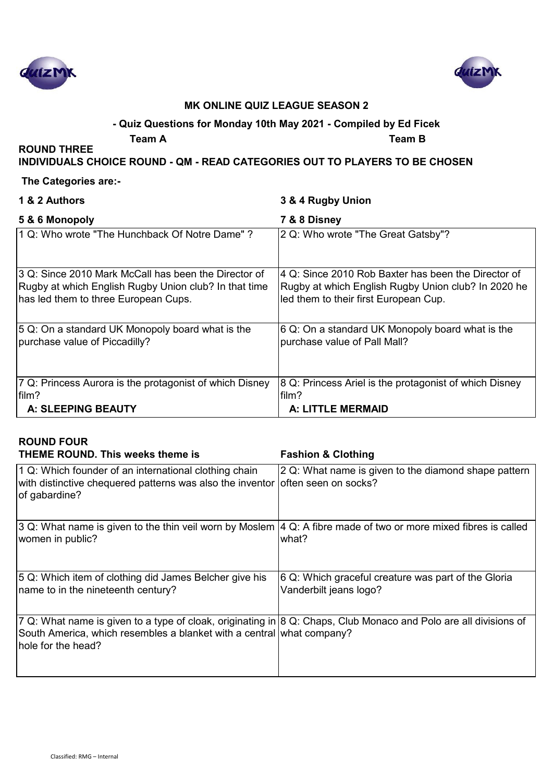



#### **- Quiz Questions for Monday 10th May 2021 - Compiled by Ed Ficek**

**ROUND THREE** 

**Team A Team B**

#### **INDIVIDUALS CHOICE ROUND - QM - READ CATEGORIES OUT TO PLAYERS TO BE CHOSEN**

#### **The Categories are:-**

| 3 & 4 Rugby Union                                                                                                                                   |
|-----------------------------------------------------------------------------------------------------------------------------------------------------|
| 7 & 8 Disney                                                                                                                                        |
| 2 Q: Who wrote "The Great Gatsby"?                                                                                                                  |
| 4 Q: Since 2010 Rob Baxter has been the Director of<br>Rugby at which English Rugby Union club? In 2020 he<br>led them to their first European Cup. |
| 6 Q: On a standard UK Monopoly board what is the<br>purchase value of Pall Mall?                                                                    |
| 8 Q: Princess Ariel is the protagonist of which Disney<br>film?<br><b>A: LITTLE MERMAID</b>                                                         |
|                                                                                                                                                     |

#### **ROUND FOUR THEME ROUND. This weeks theme is Fashion & Clothing** 1 Q: Which founder of an international clothing chain with distinctive chequered patterns was also the inventor of gabardine? 2 Q: What name is given to the diamond shape pattern often seen on socks? 3 Q: What name is given to the thin veil worn by Moslem 4 Q: A fibre made of two or more mixed fibres is called women in public? what? 5 Q: Which item of clothing did James Belcher give his name to in the nineteenth century? 6 Q: Which graceful creature was part of the Gloria Vanderbilt jeans logo? 7 Q: What name is given to a type of cloak, originating in 8 Q: Chaps, Club Monaco and Polo are all divisions of South America, which resembles a blanket with a central what company?

hole for the head?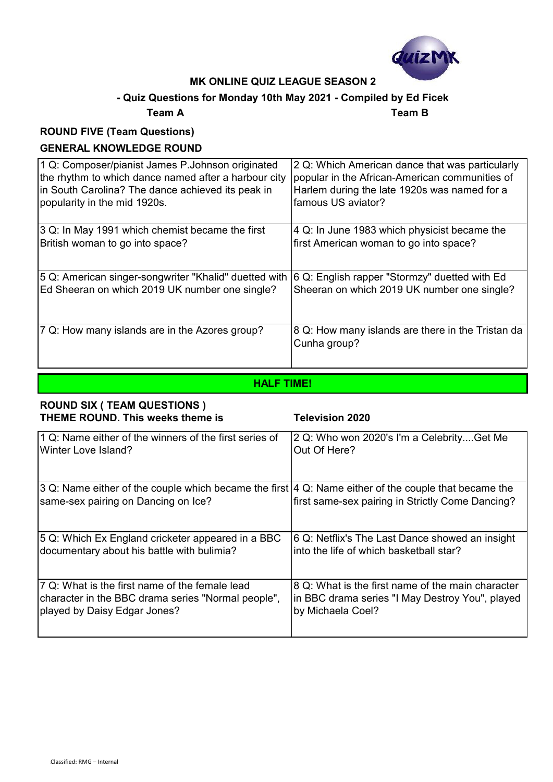

## **- Quiz Questions for Monday 10th May 2021 - Compiled by Ed Ficek**

#### **Team A Team B**

## **ROUND FIVE (Team Questions) GENERAL KNOWLEDGE ROUND**

| 1 Q: Composer/pianist James P.Johnson originated      | 2 Q: Which American dance that was particularly                   |
|-------------------------------------------------------|-------------------------------------------------------------------|
| the rhythm to which dance named after a harbour city  | popular in the African-American communities of                    |
| in South Carolina? The dance achieved its peak in     | Harlem during the late 1920s was named for a                      |
| popularity in the mid 1920s.                          | famous US aviator?                                                |
| 3 Q: In May 1991 which chemist became the first       | 4 Q: In June 1983 which physicist became the                      |
| British woman to go into space?                       | first American woman to go into space?                            |
| 5 Q: American singer-songwriter "Khalid" duetted with | 6 Q: English rapper "Stormzy" duetted with Ed                     |
| Ed Sheeran on which 2019 UK number one single?        | Sheeran on which 2019 UK number one single?                       |
| 7 Q: How many islands are in the Azores group?        | 8 Q: How many islands are there in the Tristan da<br>Cunha group? |

#### **HALF TIME!**

#### **ROUND SIX ( TEAM QUESTIONS ) THEME ROUND. This weeks theme is Television 2020**

| 1 Q: Name either of the winners of the first series of                                                                                       | 2 Q: Who won 2020's I'm a CelebrityGet Me         |
|----------------------------------------------------------------------------------------------------------------------------------------------|---------------------------------------------------|
| Winter Love Island?                                                                                                                          | Out Of Here?                                      |
| 3 Q: Name either of the couple which became the first  4 Q: Name either of the couple that became the<br>same-sex pairing on Dancing on Ice? | first same-sex pairing in Strictly Come Dancing?  |
| 5 Q: Which Ex England cricketer appeared in a BBC                                                                                            | 6 Q: Netflix's The Last Dance showed an insight   |
| documentary about his battle with bulimia?                                                                                                   | linto the life of which basketball star?          |
| 7 Q: What is the first name of the female lead                                                                                               | 8 Q: What is the first name of the main character |
| character in the BBC drama series "Normal people",                                                                                           | in BBC drama series "I May Destroy You", played   |
| played by Daisy Edgar Jones?                                                                                                                 | by Michaela Coel?                                 |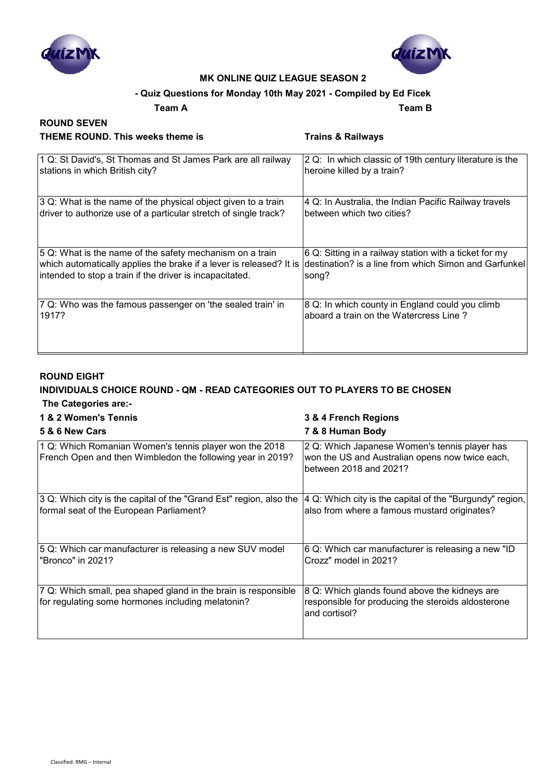



#### **- Quiz Questions for Monday 10th May 2021 - Compiled by Ed Ficek**

#### **Team A Team B**

# **ROUND SEVEN THEME ROUND. This weeks theme is Trains & Railways**

 **A: A:** 

| 1 Q: St David's, St Thomas and St James Park are all railway<br>stations in which British city?                                 | 2 Q: In which classic of 19th century literature is the<br>heroine killed by a train?                           |
|---------------------------------------------------------------------------------------------------------------------------------|-----------------------------------------------------------------------------------------------------------------|
| 3 Q: What is the name of the physical object given to a train                                                                   | 4 Q: In Australia, the Indian Pacific Railway travels                                                           |
| driver to authorize use of a particular stretch of single track?                                                                | between which two cities?                                                                                       |
| 5 Q: What is the name of the safety mechanism on a train<br>which automatically applies the brake if a lever is released? It is | 6 Q: Sitting in a railway station with a ticket for my<br>destination? is a line from which Simon and Garfunkel |
| intended to stop a train if the driver is incapacitated.                                                                        | song?                                                                                                           |
| 7 Q: Who was the famous passenger on 'the sealed train' in                                                                      | 8 Q: In which county in England could you climb                                                                 |
| 1917?                                                                                                                           | aboard a train on the Watercress Line?                                                                          |

## **ROUND EIGHT**

#### **INDIVIDUALS CHOICE ROUND - QM - READ CATEGORIES OUT TO PLAYERS TO BE CHOSEN The Categories are:-**

#### **1 & 2 Women's Tennis 3 & 4 French Regions**

| 5 & 6 New Cars                                                                                                       | 7 & 8 Human Body                                                                                                           |
|----------------------------------------------------------------------------------------------------------------------|----------------------------------------------------------------------------------------------------------------------------|
| 1 Q: Which Romanian Women's tennis player won the 2018<br>French Open and then Wimbledon the following year in 2019? | 2 Q: Which Japanese Women's tennis player has<br>won the US and Australian opens now twice each,<br>between 2018 and 2021? |
| 3 Q: Which city is the capital of the "Grand Est" region, also the<br>formal seat of the European Parliament?        | 4 Q: Which city is the capital of the "Burgundy" region,<br>also from where a famous mustard originates?                   |
| 5 Q: Which car manufacturer is releasing a new SUV model<br>"Bronco" in 2021?                                        | 6 Q: Which car manufacturer is releasing a new "ID<br>Crozz" model in 2021?                                                |
| 7 Q: Which small, pea shaped gland in the brain is responsible<br>for regulating some hormones including melatonin?  | 8 Q: Which glands found above the kidneys are<br>responsible for producing the steroids aldosterone<br>and cortisol?       |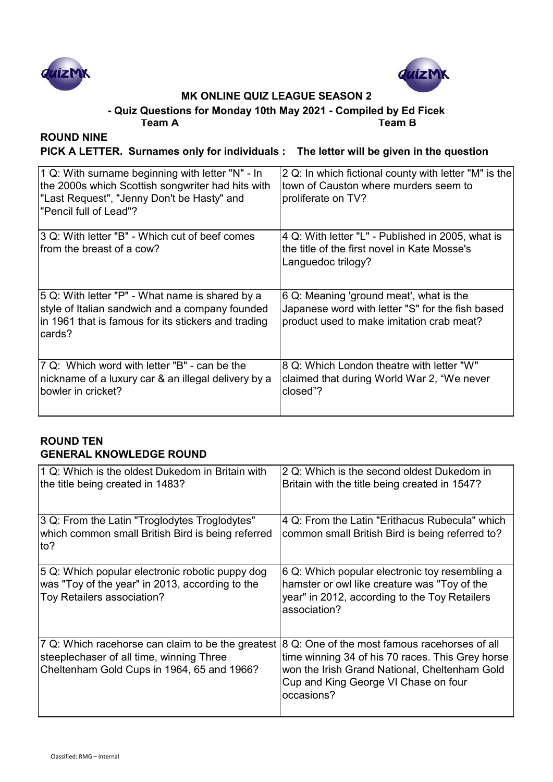



**- Quiz Questions for Monday 10th May 2021 - Compiled by Ed Ficek**

**Team A Team B**

## **ROUND NINE**

**PICK A LETTER. Surnames only for individuals : The letter will be given in the question**

| 1 Q: With surname beginning with letter "N" - In<br>the 2000s which Scottish songwriter had hits with<br>"Last Request", "Jenny Don't be Hasty" and<br>"Pencil full of Lead"? | $ 2 Q$ : In which fictional county with letter "M" is the<br>town of Causton where murders seem to<br>proliferate on TV?                 |
|-------------------------------------------------------------------------------------------------------------------------------------------------------------------------------|------------------------------------------------------------------------------------------------------------------------------------------|
| 3 Q: With letter "B" - Which cut of beef comes<br>from the breast of a cow?                                                                                                   | 4 Q: With letter "L" - Published in 2005, what is<br>Ithe title of the first novel in Kate Mosse's<br>Languedoc trilogy?                 |
| 5 Q: With letter "P" - What name is shared by a<br>style of Italian sandwich and a company founded<br>in 1961 that is famous for its stickers and trading<br>cards?           | 6 Q: Meaning 'ground meat', what is the<br>Japanese word with letter "S" for the fish based<br>product used to make imitation crab meat? |
| 7 Q: Which word with letter "B" - can be the<br>nickname of a luxury car & an illegal delivery by a<br>bowler in cricket?                                                     | 8 Q: Which London theatre with letter "W"<br>claimed that during World War 2, "We never<br>closed"?                                      |

## **ROUND TEN GENERAL KNOWLEDGE ROUND**

| 1 Q: Which is the oldest Dukedom in Britain with<br>the title being created in 1483?                                                        | 2 Q: Which is the second oldest Dukedom in<br>Britain with the title being created in 1547?                                                                                                              |
|---------------------------------------------------------------------------------------------------------------------------------------------|----------------------------------------------------------------------------------------------------------------------------------------------------------------------------------------------------------|
| 3 Q: From the Latin "Troglodytes Troglodytes"<br>which common small British Bird is being referred<br>to?                                   | 4 Q: From the Latin "Erithacus Rubecula" which<br>common small British Bird is being referred to?                                                                                                        |
| 5 Q: Which popular electronic robotic puppy dog<br>was "Toy of the year" in 2013, according to the<br>Toy Retailers association?            | 6 Q: Which popular electronic toy resembling a<br>hamster or owl like creature was "Toy of the<br>year" in 2012, according to the Toy Retailers<br>association?                                          |
| 7 Q: Which racehorse can claim to be the greatest<br>steeplechaser of all time, winning Three<br>Cheltenham Gold Cups in 1964, 65 and 1966? | 8 Q: One of the most famous racehorses of all<br>time winning 34 of his 70 races. This Grey horse<br>won the Irish Grand National, Cheltenham Gold<br>Cup and King George VI Chase on four<br>occasions? |